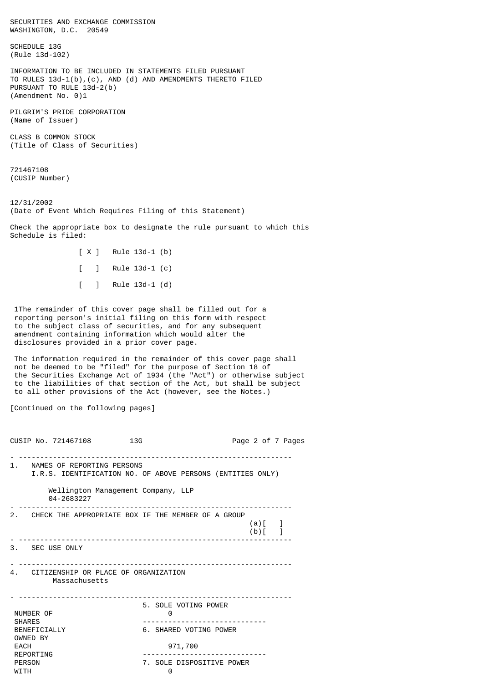SECURITIES AND EXCHANGE COMMISSION WASHINGTON, D.C. 20549

SCHEDULE 13G (Rule 13d-102)

INFORMATION TO BE INCLUDED IN STATEMENTS FILED PURSUANT TO RULES 13d-1(b),(c), AND (d) AND AMENDMENTS THERETO FILED PURSUANT TO RULE 13d-2(b) (Amendment No. 0)1

PILGRIM'S PRIDE CORPORATION (Name of Issuer)

CLASS B COMMON STOCK (Title of Class of Securities)

721467108 (CUSIP Number)

12/31/2002 (Date of Event Which Requires Filing of this Statement)

Check the appropriate box to designate the rule pursuant to which this Schedule is filed:

> [ X ] Rule 13d-1 (b) [ ] Rule 13d-1 (c) [ ] Rule 13d-1 (d)

 1The remainder of this cover page shall be filled out for a reporting person's initial filing on this form with respect to the subject class of securities, and for any subsequent amendment containing information which would alter the disclosures provided in a prior cover page.

 The information required in the remainder of this cover page shall not be deemed to be "filed" for the purpose of Section 18 of the Securities Exchange Act of 1934 (the "Act") or otherwise subject to the liabilities of that section of the Act, but shall be subject to all other provisions of the Act (however, see the Notes.)

[Continued on the following pages]

CUSIP No. 721467108 13G 2007 2010 13G - ---------------------------------------------------------------- 1. NAMES OF REPORTING PERSONS I.R.S. IDENTIFICATION NO. OF ABOVE PERSONS (ENTITIES ONLY) Wellington Management Company, LLP 04-2683227 - ---------------------------------------------------------------- 2. CHECK THE APPROPRIATE BOX IF THE MEMBER OF A GROUP  $(a)[ ]$  $(b)$ [ ] - ---------------------------------------------------------------- 3. SEC USE ONLY - ---------------------------------------------------------------- 4. CITIZENSHIP OR PLACE OF ORGANIZATION Massachusetts - ---------------------------------------------------------------- 5. SOLE VOTING POWER NUMBER OF 0 SHARES ----------------------------- BENEFICIALLY 6. SHARED VOTING POWER OWNED BY<br>EACH EACH 971,700 REPORTING ----------------------------- 7. SOLE DISPOSITIVE POWER WITH  $\qquad \qquad \qquad \qquad \qquad \qquad \qquad$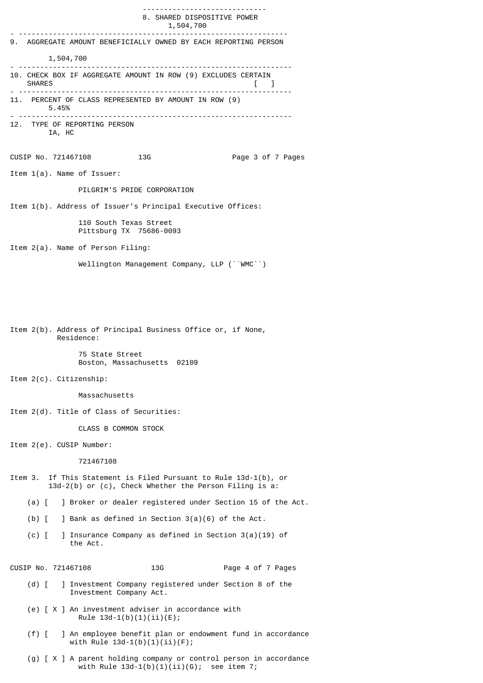----------------------------- 8. SHARED DISPOSITIVE POWER 1,504,700 - --------------------------------------------------------------- 9. AGGREGATE AMOUNT BENEFICIALLY OWNED BY EACH REPORTING PERSON 1,504,700 - ---------------------------------------------------------------- 10. CHECK BOX IF AGGREGATE AMOUNT IN ROW (9) EXCLUDES CERTAIN SHARES [ ] - ---------------------------------------------------------------- 11. PERCENT OF CLASS REPRESENTED BY AMOUNT IN ROW (9) 5.45% - ---------------------------------------------------------------- 12. TYPE OF REPORTING PERSON IA, HC CUSIP No. 721467108 13G Page 3 of 7 Pages Item 1(a). Name of Issuer: PILGRIM'S PRIDE CORPORATION Item 1(b). Address of Issuer's Principal Executive Offices: 110 South Texas Street Pittsburg TX 75686-0093 Item 2(a). Name of Person Filing: Wellington Management Company, LLP (``WMC``) Item 2(b). Address of Principal Business Office or, if None, Residence: 75 State Street Boston, Massachusetts 02109 Item 2(c). Citizenship: Massachusetts Item 2(d). Title of Class of Securities: CLASS B COMMON STOCK Item 2(e). CUSIP Number: 721467108 Item 3. If This Statement is Filed Pursuant to Rule 13d-1(b), or 13d-2(b) or (c), Check Whether the Person Filing is  $a$ : (a) [ ] Broker or dealer registered under Section 15 of the Act. (b) [ ] Bank as defined in Section 3(a)(6) of the Act. (c) [ ] Insurance Company as defined in Section 3(a)(19) of the Act. CUSIP No. 721467108 13G 13G Page 4 of 7 Pages (d) [ ] Investment Company registered under Section 8 of the Investment Company Act. (e) [ X ] An investment adviser in accordance with Rule  $13d-1(b)(1)(ii)(E);$  (f) [ ] An employee benefit plan or endowment fund in accordance with Rule 13d-1(b)(1)(ii)(F);

 (g) [ X ] A parent holding company or control person in accordance with Rule  $13d-1(b)(1)(ii)(G)$ ; see item 7;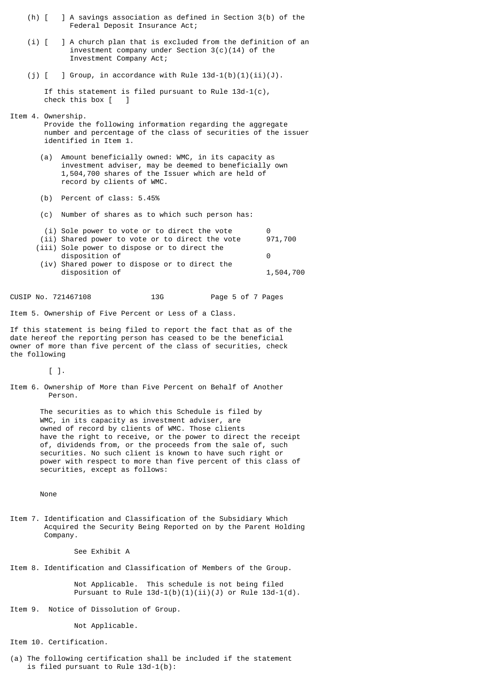- (h) [ ] A savings association as defined in Section 3(b) of the Federal Deposit Insurance Act;
- (i) [ ] A church plan that is excluded from the definition of an investment company under Section 3(c)(14) of the Investment Company Act;
- (i)  $\lceil$  ] Group, in accordance with Rule 13d-1(b)(1)(ii)(J).

 If this statement is filed pursuant to Rule 13d-1(c), check this box [ ]

- Item 4. Ownership.
	- Provide the following information regarding the aggregate number and percentage of the class of securities of the issuer identified in Item 1.
	- (a) Amount beneficially owned: WMC, in its capacity as investment adviser, may be deemed to beneficially own 1,504,700 shares of the Issuer which are held of record by clients of WMC.
	- (b) Percent of class: 5.45%
	- (c) Number of shares as to which such person has:
	- (i) Sole power to vote or to direct the vote 0
	- (ii) Shared power to vote or to direct the vote 971,700 (iii) Sole power to dispose or to direct the disposition of 0 (iv) Shared power to dispose or to direct the disposition of  $1,504,700$
- CUSIP No. 721467108 13G Page 5 of 7 Pages

Item 5. Ownership of Five Percent or Less of a Class.

If this statement is being filed to report the fact that as of the date hereof the reporting person has ceased to be the beneficial owner of more than five percent of the class of securities, check the following

 $[$   $]$ .

Item 6. Ownership of More than Five Percent on Behalf of Another Person.

> The securities as to which this Schedule is filed by WMC, in its capacity as investment adviser, are owned of record by clients of WMC. Those clients have the right to receive, or the power to direct the receipt of, dividends from, or the proceeds from the sale of, such securities. No such client is known to have such right or power with respect to more than five percent of this class of securities, except as follows:

None

Item 7. Identification and Classification of the Subsidiary Which Acquired the Security Being Reported on by the Parent Holding Company.

See Exhibit A

Item 8. Identification and Classification of Members of the Group.

 Not Applicable. This schedule is not being filed Pursuant to Rule  $13d-1(b)(1)(ii)(J)$  or Rule  $13d-1(d)$ .

Item 9. Notice of Dissolution of Group.

Not Applicable.

Item 10. Certification.

(a) The following certification shall be included if the statement is filed pursuant to Rule 13d-1(b):